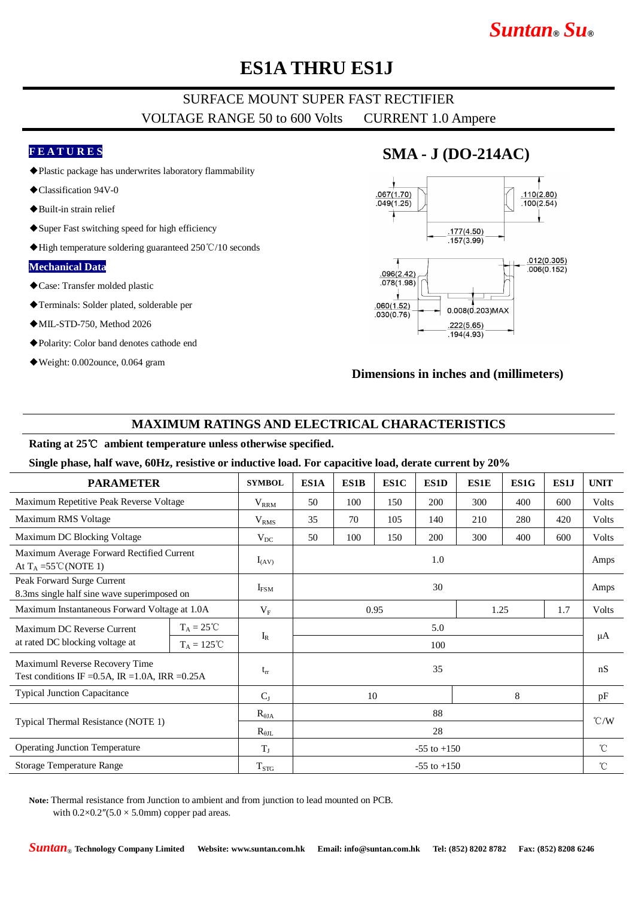# *Suntan***®** *Su***®**

## **ES1A THRU ES1J**

### SURFACE MOUNT SUPER FAST RECTIFIER VOLTAGE RANGE 50 to 600 Volts CURRENT 1.0 Ampere

#### **F E A T U R E S**

- ◆Plastic package has underwrites laboratory flammability
- ◆Classification 94V-0
- ◆Built-in strain relief
- ◆Super Fast switching speed for high efficiency
- ◆High temperature soldering guaranteed 250℃/10 seconds

#### **Mechanical Data**

- ◆Case: Transfer molded plastic
- ◆Terminals: Solder plated, solderable per
- ◆MIL-STD-750, Method 2026
- ◆Polarity: Color band denotes cathode end
- ◆Weight: 0.002ounce, 0.064 gram

### **SMA - J (DO-214AC)**



#### **Dimensions in inches and (millimeters)**

#### **MAXIMUM RATINGS AND ELECTRICAL CHARACTERISTICS**

#### **Rating at 25**℃ **ambient temperature unless otherwise specified.**

**Single phase, half wave, 60Hz, resistive or inductive load. For capacitive load, derate current by 20%**

| <b>PARAMETER</b>                                                                      |                      | <b>SYMBOL</b>    | ES1A                | ES1B | ES1C | ES1D | <b>ES1E</b> | ES1G         | ES1J | <b>UNIT</b>        |
|---------------------------------------------------------------------------------------|----------------------|------------------|---------------------|------|------|------|-------------|--------------|------|--------------------|
| Maximum Repetitive Peak Reverse Voltage                                               |                      | $\rm V_{RRM}$    | 50                  | 100  | 150  | 200  | 300         | 400          | 600  | <b>Volts</b>       |
| Maximum RMS Voltage                                                                   |                      | V <sub>RMS</sub> | 35                  | 70   | 105  | 140  | 210         | 280          | 420  | <b>Volts</b>       |
| Maximum DC Blocking Voltage                                                           |                      | $V_{DC}$         | 50                  | 100  | 150  | 200  | 300         | 400          | 600  | <b>Volts</b>       |
| Maximum Average Forward Rectified Current<br>At $T_A = 55^{\circ}C(NOTE 1)$           |                      | $I_{(AV)}$       | 1.0                 |      |      |      |             |              |      | Amps               |
| Peak Forward Surge Current<br>8.3ms single half sine wave superimposed on             |                      | $I_{FSM}$        | 30                  |      |      |      |             |              | Amps |                    |
| Maximum Instantaneous Forward Voltage at 1.0A                                         |                      | $V_{F}$          | 1.7<br>0.95<br>1.25 |      |      |      |             | <b>Volts</b> |      |                    |
| Maximum DC Reverse Current<br>at rated DC blocking voltage at                         | $T_A = 25^{\circ}C$  |                  | 5.0                 |      |      |      |             |              |      | μA                 |
|                                                                                       | $T_A = 125^{\circ}C$ | $I_{R}$          | 100                 |      |      |      |             |              |      |                    |
| Maximuml Reverse Recovery Time<br>Test conditions IF = 0.5A, IR = 1.0A, IRR = $0.25A$ |                      | $t_{rr}$         | 35                  |      |      |      |             |              |      | nS                 |
| <b>Typical Junction Capacitance</b>                                                   |                      | $C_{J}$          | 8<br>10             |      |      |      |             | pF           |      |                    |
| Typical Thermal Resistance (NOTE 1)                                                   |                      | $R_{\theta JA}$  | 88                  |      |      |      |             |              |      | $\rm ^{\circ}$ C/W |
|                                                                                       |                      | $R_{\theta IL}$  | 28                  |      |      |      |             |              |      |                    |
| <b>Operating Junction Temperature</b>                                                 |                      | $T_{\rm J}$      | $-55$ to $+150$     |      |      |      |             |              |      | $^{\circ}C$        |
| Storage Temperature Range                                                             |                      | $T_{STG}$        | $-55$ to $+150$     |      |      |      |             |              |      | $^{\circ}$ C       |

**Note:** Thermal resistance from Junction to ambient and from junction to lead mounted on PCB. with  $0.2 \times 0.2''(5.0 \times 5.0 \text{mm})$  copper pad areas.